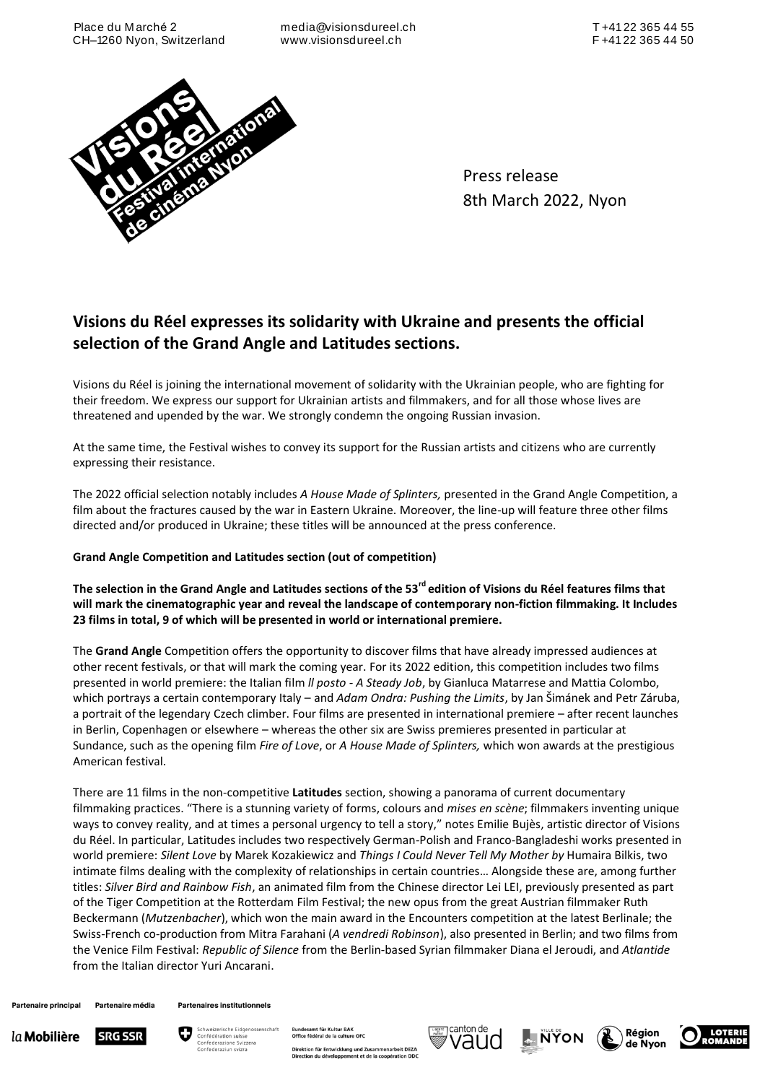Place du M arché 2 CH–1260 Nyon, Switzerland

media@visionsdureel.ch www.visionsdureel.ch



Press release 8th March 2022, Nyon

# **Visions du Réel expresses its solidarity with Ukraine and presents the official selection of the Grand Angle and Latitudes sections.**

Visions du Réel is joining the international movement of solidarity with the Ukrainian people, who are fighting for their freedom. We express our support for Ukrainian artists and filmmakers, and for all those whose lives are threatened and upended by the war. We strongly condemn the ongoing Russian invasion.

At the same time, the Festival wishes to convey its support for the Russian artists and citizens who are currently expressing their resistance.

The 2022 official selection notably includes *A House Made of Splinters,* presented in the Grand Angle Competition, a film about the fractures caused by the war in Eastern Ukraine. Moreover, the line-up will feature three other films directed and/or produced in Ukraine; these titles will be announced at the press conference.

# **Grand Angle Competition and Latitudes section (out of competition)**

**The selection in the Grand Angle and Latitudes sections of the 53rd edition of Visions du Réel features films that will mark the cinematographic year and reveal the landscape of contemporary non-fiction filmmaking. It Includes 23 films in total, 9 of which will be presented in world or international premiere.**

The **Grand Angle** Competition offers the opportunity to discover films that have already impressed audiences at other recent festivals, or that will mark the coming year. For its 2022 edition, this competition includes two films presented in world premiere: the Italian film *ll posto - A Steady Job*, by Gianluca Matarrese and Mattia Colombo, which portrays a certain contemporary Italy – and *Adam Ondra: Pushing the Limits*, by Jan Šimánek and Petr Záruba, a portrait of the legendary Czech climber. Four films are presented in international premiere – after recent launches in Berlin, Copenhagen or elsewhere – whereas the other six are Swiss premieres presented in particular at Sundance, such as the opening film *Fire of Love*, or *A House Made of Splinters,* which won awards at the prestigious American festival.

There are 11 films in the non-competitive **Latitudes** section, showing a panorama of current documentary filmmaking practices. "There is a stunning variety of forms, colours and *mises en scène*; filmmakers inventing unique ways to convey reality, and at times a personal urgency to tell a story," notes Emilie Bujès, artistic director of Visions du Réel. In particular, Latitudes includes two respectively German-Polish and Franco-Bangladeshi works presented in world premiere: *Silent Love* by Marek Kozakiewicz and *Things I Could Never Tell My Mother by* Humaira Bilkis, two intimate films dealing with the complexity of relationships in certain countries… Alongside these are, among further titles: *Silver Bird and Rainbow Fish*, an animated film from the Chinese director Lei LEI, previously presented as part of the Tiger Competition at the Rotterdam Film Festival; the new opus from the great Austrian filmmaker Ruth Beckermann (*Mutzenbacher*), which won the main award in the Encounters competition at the latest Berlinale; the Swiss-French co-production from Mitra Farahani (*A vendredi Robinson*), also presented in Berlin; and two films from the Venice Film Festival: *Republic of Silence* from the Berlin-based Syrian filmmaker Diana el Jeroudi, and *Atlantide* from the Italian director Yuri Ancarani.

Partenaire média Partenaire principal

**Partenaires institutionnels** 





mt für Kultur BAK<br>déral de la culture OFC

Direktion für Entwicklung und Zusammenarbeit DEZA<br>Direction du développement et de la coopération DDC







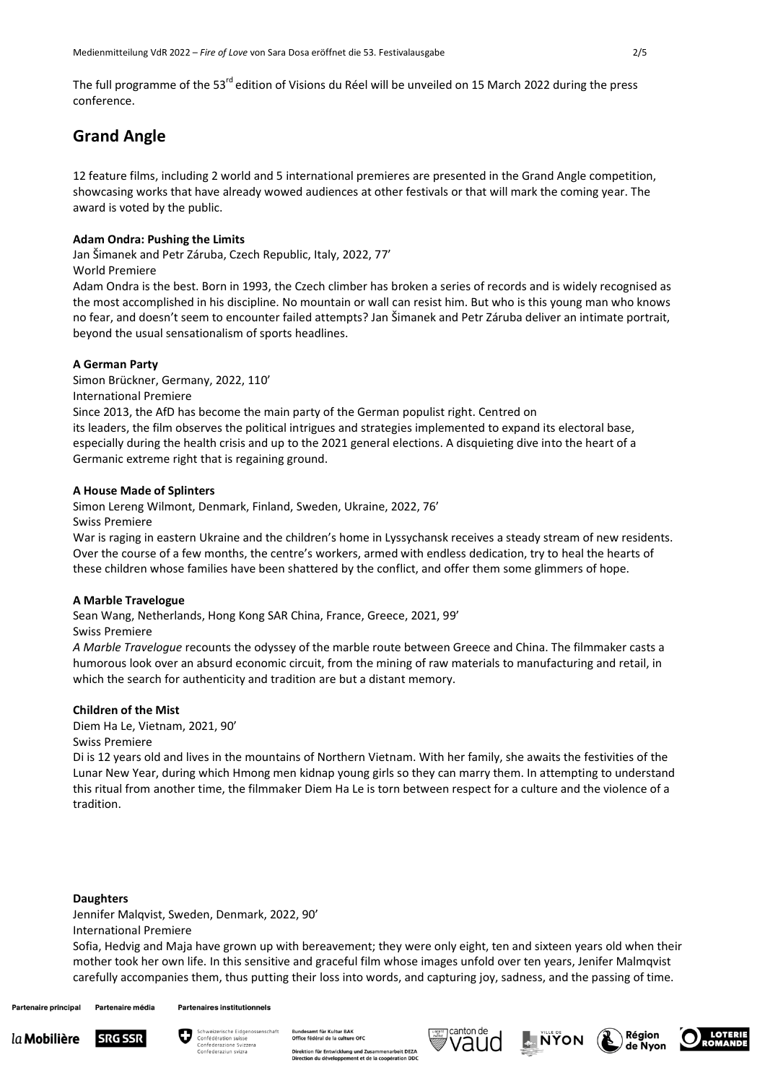The full programme of the 53<sup>rd</sup> edition of Visions du Réel will be unveiled on 15 March 2022 during the press conference.

# **Grand Angle**

12 feature films, including 2 world and 5 international premieres are presented in the Grand Angle competition, showcasing works that have already wowed audiences at other festivals or that will mark the coming year. The award is voted by the public.

# **Adam Ondra: Pushing the Limits**

Jan Šimanek and Petr Záruba, Czech Republic, Italy, 2022, 77'

## World Premiere

Adam Ondra is the best. Born in 1993, the Czech climber has broken a series of records and is widely recognised as the most accomplished in his discipline. No mountain or wall can resist him. But who is this young man who knows no fear, and doesn't seem to encounter failed attempts? Jan Šimanek and Petr Záruba deliver an intimate portrait, beyond the usual sensationalism of sports headlines.

# **A German Party**

Simon Brückner, Germany, 2022, 110' International Premiere

Since 2013, the AfD has become the main party of the German populist right. Centred on its leaders, the film observes the political intrigues and strategies implemented to expand its electoral base, especially during the health crisis and up to the 2021 general elections. A disquieting dive into the heart of a Germanic extreme right that is regaining ground.

# **A House Made of Splinters**

Simon Lereng Wilmont, Denmark, Finland, Sweden, Ukraine, 2022, 76' Swiss Premiere

War is raging in eastern Ukraine and the children's home in Lyssychansk receives a steady stream of new residents. Over the course of a few months, the centre's workers, armed with endless dedication, try to heal the hearts of these children whose families have been shattered by the conflict, and offer them some glimmers of hope.

# **A Marble Travelogue**

Sean Wang, Netherlands, Hong Kong SAR China, France, Greece, 2021, 99'

## Swiss Premiere

*A Marble Travelogue* recounts the odyssey of the marble route between Greece and China. The filmmaker casts a humorous look over an absurd economic circuit, from the mining of raw materials to manufacturing and retail, in which the search for authenticity and tradition are but a distant memory.

# **Children of the Mist**

Diem Ha Le, Vietnam, 2021, 90'

## Swiss Premiere

Di is 12 years old and lives in the mountains of Northern Vietnam. With her family, she awaits the festivities of the Lunar New Year, during which Hmong men kidnap young girls so they can marry them. In attempting to understand this ritual from another time, the filmmaker Diem Ha Le is torn between respect for a culture and the violence of a tradition.

#### **Daughters**

Jennifer Malqvist, Sweden, Denmark, 2022, 90' International Premiere

Sofia, Hedvig and Maja have grown up with bereavement; they were only eight, ten and sixteen years old when their mother took her own life. In this sensitive and graceful film whose images unfold over ten years, Jenifer Malmqvist carefully accompanies them, thus putting their loss into words, and capturing joy, sadness, and the passing of time.

**Partenaire principal** Partenaire média **Partenaires institutionnels** 





iral de la culture OFC rbeit DEZA Direktion für Entwicklung und Zu







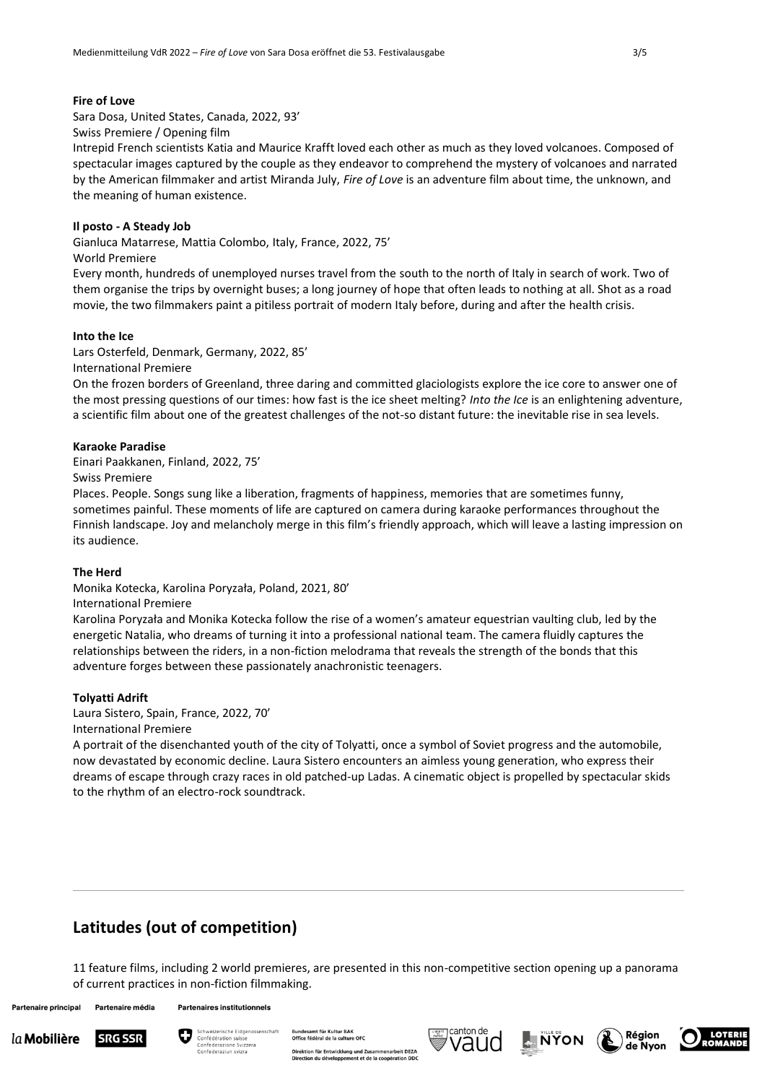# **Fire of Love**

Sara Dosa, United States, Canada, 2022, 93'

Swiss Premiere / Opening film

Intrepid French scientists Katia and Maurice Krafft loved each other as much as they loved volcanoes. Composed of spectacular images captured by the couple as they endeavor to comprehend the mystery of volcanoes and narrated by the American filmmaker and artist Miranda July, *Fire of Love* is an adventure film about time, the unknown, and the meaning of human existence.

## **Il posto - A Steady Job**

Gianluca Matarrese, Mattia Colombo, Italy, France, 2022, 75'

#### World Premiere

Every month, hundreds of unemployed nurses travel from the south to the north of Italy in search of work. Two of them organise the trips by overnight buses; a long journey of hope that often leads to nothing at all. Shot as a road movie, the two filmmakers paint a pitiless portrait of modern Italy before, during and after the health crisis.

## **Into the Ice**

Lars Osterfeld, Denmark, Germany, 2022, 85'

International Premiere

On the frozen borders of Greenland, three daring and committed glaciologists explore the ice core to answer one of the most pressing questions of our times: how fast is the ice sheet melting? *Into the Ice* is an enlightening adventure, a scientific film about one of the greatest challenges of the not-so distant future: the inevitable rise in sea levels.

#### **Karaoke Paradise**

Einari Paakkanen, Finland, 2022, 75'

#### Swiss Premiere

Places. People. Songs sung like a liberation, fragments of happiness, memories that are sometimes funny, sometimes painful. These moments of life are captured on camera during karaoke performances throughout the Finnish landscape. Joy and melancholy merge in this film's friendly approach, which will leave a lasting impression on its audience.

## **The Herd**

Monika Kotecka, Karolina Poryzała, Poland, 2021, 80'

# International Premiere

Karolina Poryzała and Monika Kotecka follow the rise of a women's amateur equestrian vaulting club, led by the energetic Natalia, who dreams of turning it into a professional national team. The camera fluidly captures the relationships between the riders, in a non-fiction melodrama that reveals the strength of the bonds that this adventure forges between these passionately anachronistic teenagers.

## **Tolyatti Adrift**

Laura Sistero, Spain, France, 2022, 70' International Premiere

A portrait of the disenchanted youth of the city of Tolyatti, once a symbol of Soviet progress and the automobile, now devastated by economic decline. Laura Sistero encounters an aimless young generation, who express their dreams of escape through crazy races in old patched-up Ladas. A cinematic object is propelled by spectacular skids to the rhythm of an electro-rock soundtrack.

# **Latitudes (out of competition)**

11 feature films, including 2 world premieres, are presented in this non-competitive section opening up a panorama of current practices in non-fiction filmmaking.

**Partenaire principal** 

```
Partenaire média
            Partenaires institutionnels
```








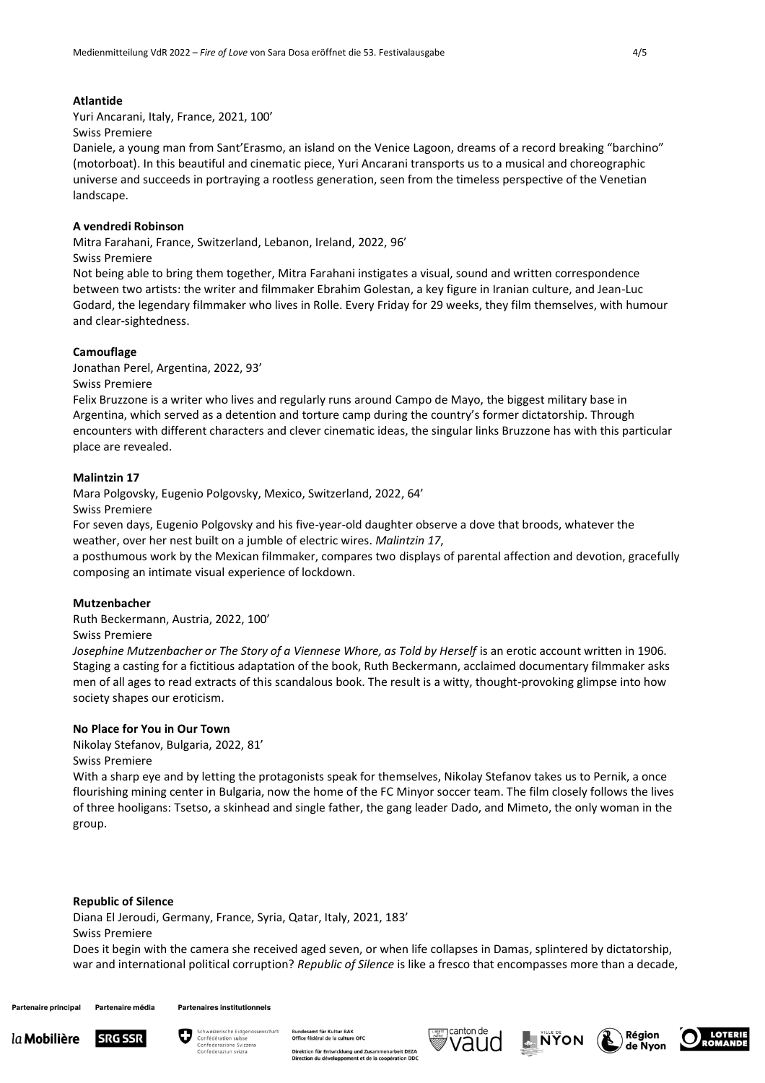# **Atlantide**

Yuri Ancarani, Italy, France, 2021, 100'

#### Swiss Premiere

Daniele, a young man from Sant'Erasmo, an island on the Venice Lagoon, dreams of a record breaking "barchino" (motorboat). In this beautiful and cinematic piece, Yuri Ancarani transports us to a musical and choreographic universe and succeeds in portraying a rootless generation, seen from the timeless perspective of the Venetian landscape.

## **A vendredi Robinson**

Mitra Farahani, France, Switzerland, Lebanon, Ireland, 2022, 96'

#### Swiss Premiere

Not being able to bring them together, Mitra Farahani instigates a visual, sound and written correspondence between two artists: the writer and filmmaker Ebrahim Golestan, a key figure in Iranian culture, and Jean-Luc Godard, the legendary filmmaker who lives in Rolle. Every Friday for 29 weeks, they film themselves, with humour and clear-sightedness.

## **Camouflage**

Jonathan Perel, Argentina, 2022, 93'

## Swiss Premiere

Felix Bruzzone is a writer who lives and regularly runs around Campo de Mayo, the biggest military base in Argentina, which served as a detention and torture camp during the country's former dictatorship. Through encounters with different characters and clever cinematic ideas, the singular links Bruzzone has with this particular place are revealed.

## **Malintzin 17**

Mara Polgovsky, Eugenio Polgovsky, Mexico, Switzerland, 2022, 64'

Swiss Premiere

For seven days, Eugenio Polgovsky and his five-year-old daughter observe a dove that broods, whatever the weather, over her nest built on a jumble of electric wires. *Malintzin 17*,

a posthumous work by the Mexican filmmaker, compares two displays of parental affection and devotion, gracefully composing an intimate visual experience of lockdown.

## **Mutzenbacher**

Ruth Beckermann, Austria, 2022, 100'

Swiss Premiere

*Josephine Mutzenbacher or The Story of a Viennese Whore, as Told by Herself* is an erotic account written in 1906. Staging a casting for a fictitious adaptation of the book, Ruth Beckermann, acclaimed documentary filmmaker asks men of all ages to read extracts of this scandalous book. The result is a witty, thought-provoking glimpse into how society shapes our eroticism.

# **No Place for You in Our Town**

Nikolay Stefanov, Bulgaria, 2022, 81' Swiss Premiere

With a sharp eye and by letting the protagonists speak for themselves. Nikolay Stefanov takes us to Pernik, a once flourishing mining center in Bulgaria, now the home of the FC Minyor soccer team. The film closely follows the lives of three hooligans: Tsetso, a skinhead and single father, the gang leader Dado, and Mimeto, the only woman in the group.

#### **Republic of Silence**

Diana El Jeroudi, Germany, France, Syria, Qatar, Italy, 2021, 183' Swiss Premiere

Does it begin with the camera she received aged seven, or when life collapses in Damas, splintered by dictatorship, war and international political corruption? *Republic of Silence* is like a fresco that encompasses more than a decade,

**Partenaire principal** Partenaire média **Partenaires institutionnels** 





erar nanar Brux<br>iral de la culture OFC rbeit DEZA Direktion für Entwicklung und Zu